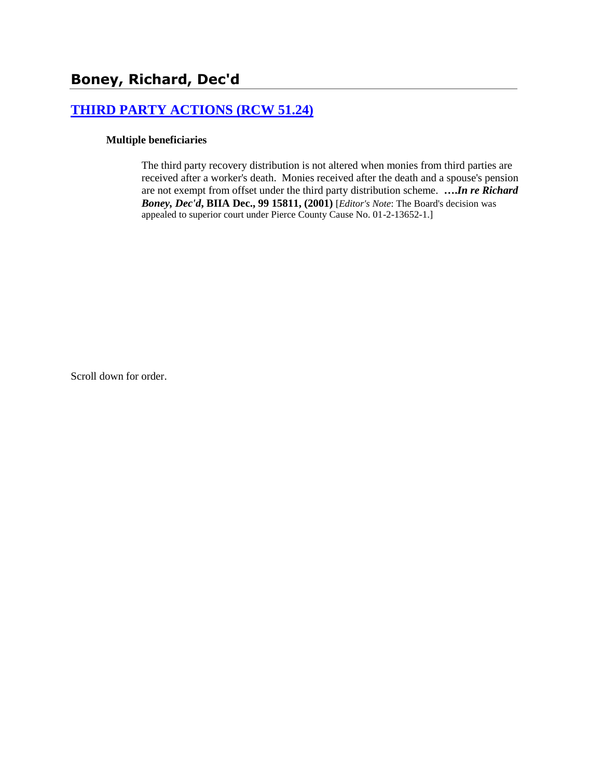# **[THIRD PARTY ACTIONS \(RCW 51.24\)](http://www.biia.wa.gov/SDSubjectIndex.html#THIRD_PARTY_ACTIONS)**

#### **Multiple beneficiaries**

The third party recovery distribution is not altered when monies from third parties are received after a worker's death. Monies received after the death and a spouse's pension are not exempt from offset under the third party distribution scheme. **….***In re Richard Boney, Dec'd***, BIIA Dec., 99 15811, (2001)** [*Editor's Note*: The Board's decision was appealed to superior court under Pierce County Cause No. 01-2-13652-1.]

Scroll down for order.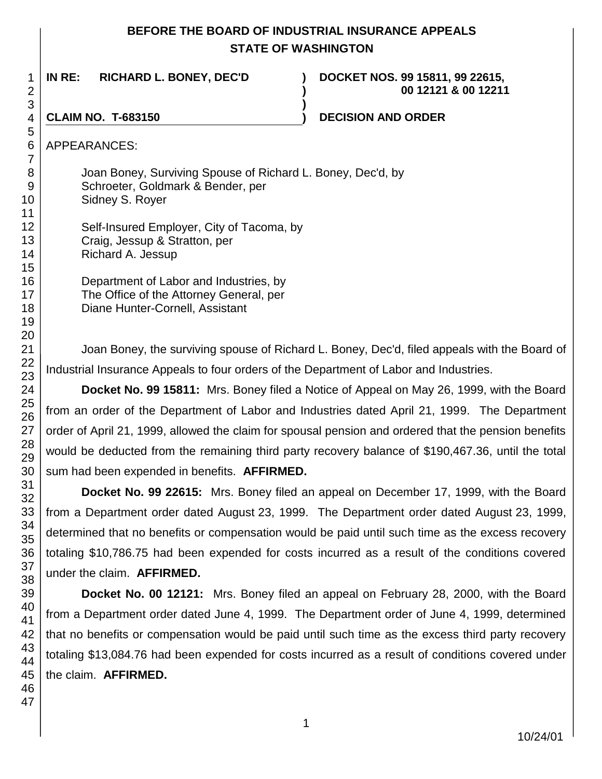## **BEFORE THE BOARD OF INDUSTRIAL INSURANCE APPEALS STATE OF WASHINGTON**

**)**

**IN RE: RICHARD L. BONEY, DEC'D ) DOCKET NOS. 99 15811, 99 22615,** 

**) 00 12121 & 00 12211**

#### **CLAIM NO. T-683150 ) DECISION AND ORDER**

APPEARANCES:

Joan Boney, Surviving Spouse of Richard L. Boney, Dec'd, by Schroeter, Goldmark & Bender, per Sidney S. Royer

Self-Insured Employer, City of Tacoma, by Craig, Jessup & Stratton, per Richard A. Jessup

Department of Labor and Industries, by The Office of the Attorney General, per Diane Hunter-Cornell, Assistant

Joan Boney, the surviving spouse of Richard L. Boney, Dec'd, filed appeals with the Board of Industrial Insurance Appeals to four orders of the Department of Labor and Industries.

**Docket No. 99 15811:** Mrs. Boney filed a Notice of Appeal on May 26, 1999, with the Board from an order of the Department of Labor and Industries dated April 21, 1999. The Department order of April 21, 1999, allowed the claim for spousal pension and ordered that the pension benefits would be deducted from the remaining third party recovery balance of \$190,467.36, until the total sum had been expended in benefits. **AFFIRMED.**

**Docket No. 99 22615:** Mrs. Boney filed an appeal on December 17, 1999, with the Board from a Department order dated August 23, 1999. The Department order dated August 23, 1999, determined that no benefits or compensation would be paid until such time as the excess recovery totaling \$10,786.75 had been expended for costs incurred as a result of the conditions covered under the claim. **AFFIRMED.**

**Docket No. 00 12121:** Mrs. Boney filed an appeal on February 28, 2000, with the Board from a Department order dated June 4, 1999. The Department order of June 4, 1999, determined that no benefits or compensation would be paid until such time as the excess third party recovery totaling \$13,084.76 had been expended for costs incurred as a result of conditions covered under the claim. **AFFIRMED.**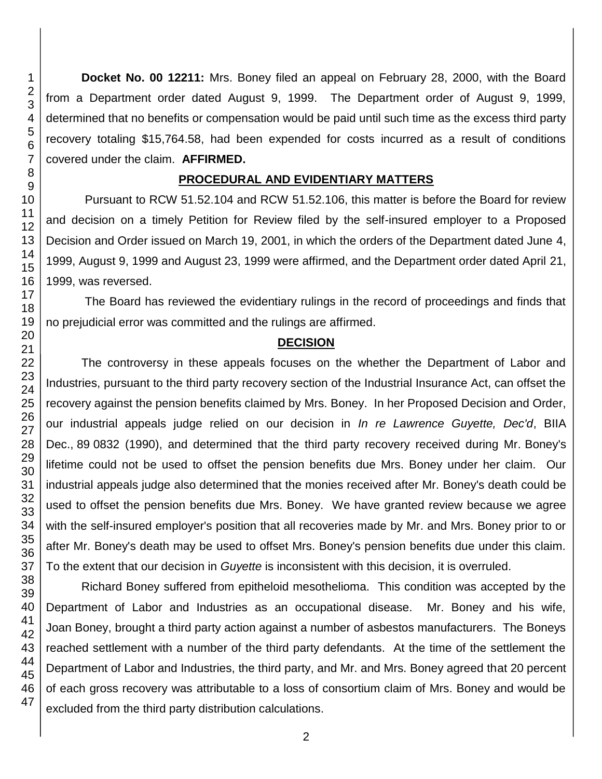**Docket No. 00 12211:** Mrs. Boney filed an appeal on February 28, 2000, with the Board from a Department order dated August 9, 1999. The Department order of August 9, 1999, determined that no benefits or compensation would be paid until such time as the excess third party recovery totaling \$15,764.58, had been expended for costs incurred as a result of conditions covered under the claim. **AFFIRMED.**

#### **PROCEDURAL AND EVIDENTIARY MATTERS**

Pursuant to RCW 51.52.104 and RCW 51.52.106, this matter is before the Board for review and decision on a timely Petition for Review filed by the self-insured employer to a Proposed Decision and Order issued on March 19, 2001, in which the orders of the Department dated June 4, 1999, August 9, 1999 and August 23, 1999 were affirmed, and the Department order dated April 21, 1999, was reversed.

The Board has reviewed the evidentiary rulings in the record of proceedings and finds that no prejudicial error was committed and the rulings are affirmed.

### **DECISION**

The controversy in these appeals focuses on the whether the Department of Labor and Industries, pursuant to the third party recovery section of the Industrial Insurance Act, can offset the recovery against the pension benefits claimed by Mrs. Boney. In her Proposed Decision and Order, our industrial appeals judge relied on our decision in *In re Lawrence Guyette, Dec'd*, BIIA Dec., 89 0832 (1990), and determined that the third party recovery received during Mr. Boney's lifetime could not be used to offset the pension benefits due Mrs. Boney under her claim. Our industrial appeals judge also determined that the monies received after Mr. Boney's death could be used to offset the pension benefits due Mrs. Boney. We have granted review because we agree with the self-insured employer's position that all recoveries made by Mr. and Mrs. Boney prior to or after Mr. Boney's death may be used to offset Mrs. Boney's pension benefits due under this claim. To the extent that our decision in *Guyette* is inconsistent with this decision, it is overruled.

Richard Boney suffered from epitheloid mesothelioma. This condition was accepted by the Department of Labor and Industries as an occupational disease. Mr. Boney and his wife, Joan Boney, brought a third party action against a number of asbestos manufacturers. The Boneys reached settlement with a number of the third party defendants. At the time of the settlement the Department of Labor and Industries, the third party, and Mr. and Mrs. Boney agreed that 20 percent of each gross recovery was attributable to a loss of consortium claim of Mrs. Boney and would be excluded from the third party distribution calculations.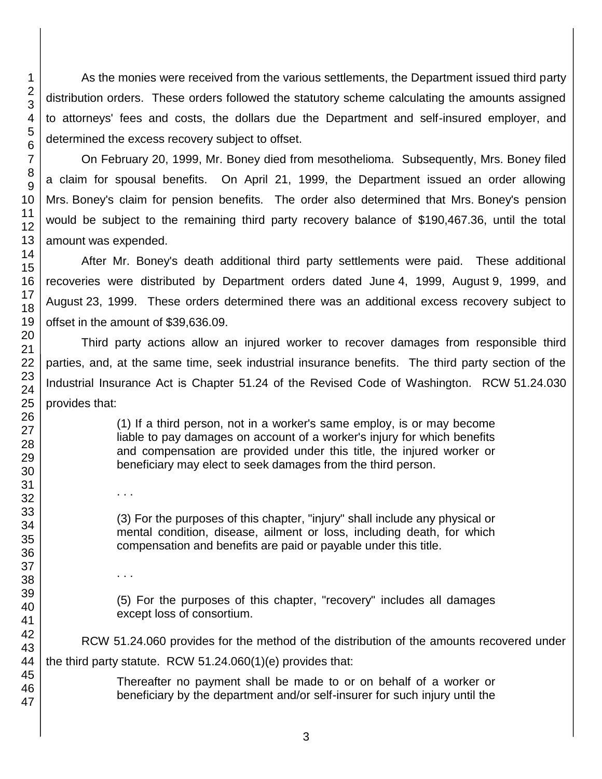As the monies were received from the various settlements, the Department issued third party distribution orders. These orders followed the statutory scheme calculating the amounts assigned to attorneys' fees and costs, the dollars due the Department and self-insured employer, and determined the excess recovery subject to offset.

On February 20, 1999, Mr. Boney died from mesothelioma. Subsequently, Mrs. Boney filed a claim for spousal benefits. On April 21, 1999, the Department issued an order allowing Mrs. Boney's claim for pension benefits. The order also determined that Mrs. Boney's pension would be subject to the remaining third party recovery balance of \$190,467.36, until the total amount was expended.

After Mr. Boney's death additional third party settlements were paid. These additional recoveries were distributed by Department orders dated June 4, 1999, August 9, 1999, and August 23, 1999. These orders determined there was an additional excess recovery subject to offset in the amount of \$39,636.09.

Third party actions allow an injured worker to recover damages from responsible third parties, and, at the same time, seek industrial insurance benefits. The third party section of the Industrial Insurance Act is Chapter 51.24 of the Revised Code of Washington. RCW 51.24.030 provides that:

> (1) If a third person, not in a worker's same employ, is or may become liable to pay damages on account of a worker's injury for which benefits and compensation are provided under this title, the injured worker or beneficiary may elect to seek damages from the third person.

> (3) For the purposes of this chapter, "injury" shall include any physical or mental condition, disease, ailment or loss, including death, for which compensation and benefits are paid or payable under this title.

> (5) For the purposes of this chapter, "recovery" includes all damages except loss of consortium.

RCW 51.24.060 provides for the method of the distribution of the amounts recovered under the third party statute. RCW 51.24.060(1)(e) provides that:

3

Thereafter no payment shall be made to or on behalf of a worker or beneficiary by the department and/or self-insurer for such injury until the

. . .

. . .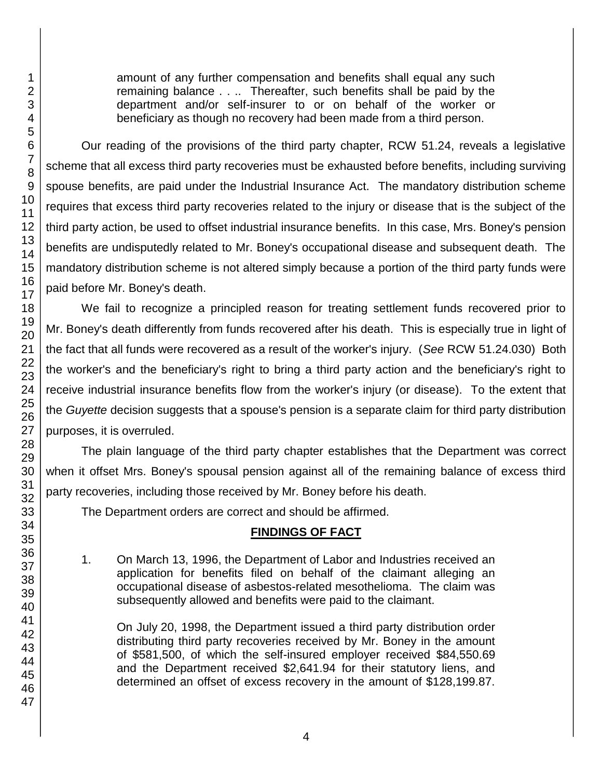amount of any further compensation and benefits shall equal any such remaining balance . . .. Thereafter, such benefits shall be paid by the department and/or self-insurer to or on behalf of the worker or beneficiary as though no recovery had been made from a third person.

Our reading of the provisions of the third party chapter, RCW 51.24, reveals a legislative scheme that all excess third party recoveries must be exhausted before benefits, including surviving spouse benefits, are paid under the Industrial Insurance Act. The mandatory distribution scheme requires that excess third party recoveries related to the injury or disease that is the subject of the third party action, be used to offset industrial insurance benefits. In this case, Mrs. Boney's pension benefits are undisputedly related to Mr. Boney's occupational disease and subsequent death. The mandatory distribution scheme is not altered simply because a portion of the third party funds were paid before Mr. Boney's death.

We fail to recognize a principled reason for treating settlement funds recovered prior to Mr. Boney's death differently from funds recovered after his death. This is especially true in light of the fact that all funds were recovered as a result of the worker's injury. (*See* RCW 51.24.030) Both the worker's and the beneficiary's right to bring a third party action and the beneficiary's right to receive industrial insurance benefits flow from the worker's injury (or disease). To the extent that the *Guyette* decision suggests that a spouse's pension is a separate claim for third party distribution purposes, it is overruled.

The plain language of the third party chapter establishes that the Department was correct when it offset Mrs. Boney's spousal pension against all of the remaining balance of excess third party recoveries, including those received by Mr. Boney before his death.

The Department orders are correct and should be affirmed.

## **FINDINGS OF FACT**

1. On March 13, 1996, the Department of Labor and Industries received an application for benefits filed on behalf of the claimant alleging an occupational disease of asbestos-related mesothelioma. The claim was subsequently allowed and benefits were paid to the claimant.

On July 20, 1998, the Department issued a third party distribution order distributing third party recoveries received by Mr. Boney in the amount of \$581,500, of which the self-insured employer received \$84,550.69 and the Department received \$2,641.94 for their statutory liens, and determined an offset of excess recovery in the amount of \$128,199.87.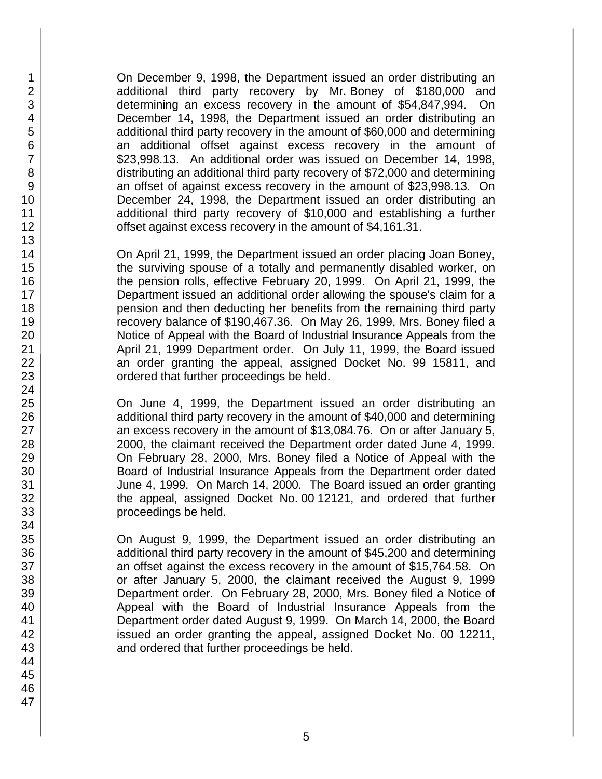On December 9, 1998, the Department issued an order distributing an additional third party recovery by Mr. Boney of \$180,000 and determining an excess recovery in the amount of \$54,847,994. On December 14, 1998, the Department issued an order distributing an additional third party recovery in the amount of \$60,000 and determining an additional offset against excess recovery in the amount of \$23,998.13. An additional order was issued on December 14, 1998, distributing an additional third party recovery of \$72,000 and determining an offset of against excess recovery in the amount of \$23,998.13. On December 24, 1998, the Department issued an order distributing an additional third party recovery of \$10,000 and establishing a further offset against excess recovery in the amount of \$4,161.31.

On April 21, 1999, the Department issued an order placing Joan Boney, the surviving spouse of a totally and permanently disabled worker, on the pension rolls, effective February 20, 1999. On April 21, 1999, the Department issued an additional order allowing the spouse's claim for a pension and then deducting her benefits from the remaining third party recovery balance of \$190,467.36. On May 26, 1999, Mrs. Boney filed a Notice of Appeal with the Board of Industrial Insurance Appeals from the April 21, 1999 Department order. On July 11, 1999, the Board issued an order granting the appeal, assigned Docket No. 99 15811, and ordered that further proceedings be held.

On June 4, 1999, the Department issued an order distributing an additional third party recovery in the amount of \$40,000 and determining an excess recovery in the amount of \$13,084.76. On or after January 5, 2000, the claimant received the Department order dated June 4, 1999. On February 28, 2000, Mrs. Boney filed a Notice of Appeal with the Board of Industrial Insurance Appeals from the Department order dated June 4, 1999. On March 14, 2000. The Board issued an order granting the appeal, assigned Docket No. 00 12121, and ordered that further proceedings be held.

On August 9, 1999, the Department issued an order distributing an additional third party recovery in the amount of \$45,200 and determining an offset against the excess recovery in the amount of \$15,764.58. On or after January 5, 2000, the claimant received the August 9, 1999 Department order. On February 28, 2000, Mrs. Boney filed a Notice of Appeal with the Board of Industrial Insurance Appeals from the Department order dated August 9, 1999. On March 14, 2000, the Board issued an order granting the appeal, assigned Docket No. 00 12211, and ordered that further proceedings be held.

1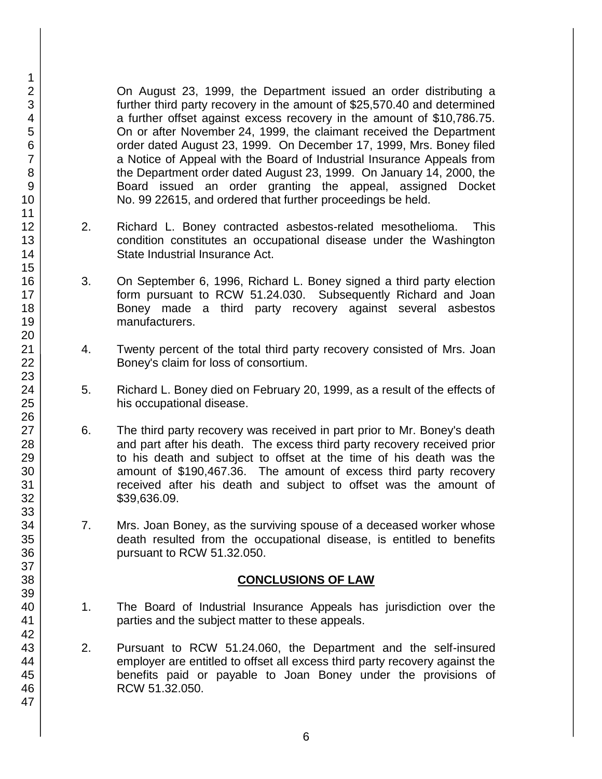On August 23, 1999, the Department issued an order distributing a further third party recovery in the amount of \$25,570.40 and determined a further offset against excess recovery in the amount of \$10,786.75. On or after November 24, 1999, the claimant received the Department order dated August 23, 1999. On December 17, 1999, Mrs. Boney filed a Notice of Appeal with the Board of Industrial Insurance Appeals from the Department order dated August 23, 1999. On January 14, 2000, the Board issued an order granting the appeal, assigned Docket No. 99 22615, and ordered that further proceedings be held.

- 2. Richard L. Boney contracted asbestos-related mesothelioma. This condition constitutes an occupational disease under the Washington State Industrial Insurance Act.
- 3. On September 6, 1996, Richard L. Boney signed a third party election form pursuant to RCW 51.24.030. Subsequently Richard and Joan Boney made a third party recovery against several asbestos manufacturers.
- 4. Twenty percent of the total third party recovery consisted of Mrs. Joan Boney's claim for loss of consortium.
- 5. Richard L. Boney died on February 20, 1999, as a result of the effects of his occupational disease.
- 6. The third party recovery was received in part prior to Mr. Boney's death and part after his death. The excess third party recovery received prior to his death and subject to offset at the time of his death was the amount of \$190,467.36. The amount of excess third party recovery received after his death and subject to offset was the amount of \$39,636.09.
- 7. Mrs. Joan Boney, as the surviving spouse of a deceased worker whose death resulted from the occupational disease, is entitled to benefits pursuant to RCW 51.32.050.

### **CONCLUSIONS OF LAW**

- 1. The Board of Industrial Insurance Appeals has jurisdiction over the parties and the subject matter to these appeals.
- 2. Pursuant to RCW 51.24.060, the Department and the self-insured employer are entitled to offset all excess third party recovery against the benefits paid or payable to Joan Boney under the provisions of RCW 51.32.050.

1